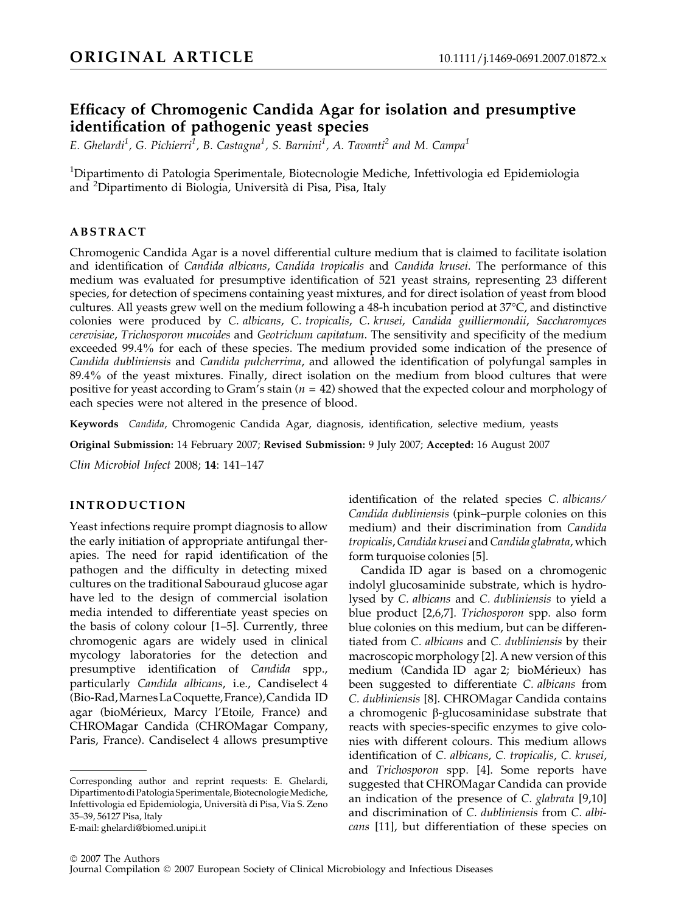# Efficacy of Chromogenic Candida Agar for isolation and presumptive identification of pathogenic yeast species

E. Ghelardi<sup>1</sup>, G. Pichierri<sup>1</sup>, B. Castagna<sup>1</sup>, S. Barnini<sup>1</sup>, A. Tavanti<sup>2</sup> and M. Campa<sup>1</sup>

<sup>1</sup>Dipartimento di Patologia Sperimentale, Biotecnologie Mediche, Infettivologia ed Epidemiologia and <sup>2</sup>Dipartimento di Biologia, Università di Pisa, Pisa, Italy

# ABSTRACT

Chromogenic Candida Agar is a novel differential culture medium that is claimed to facilitate isolation and identification of Candida albicans, Candida tropicalis and Candida krusei. The performance of this medium was evaluated for presumptive identification of 521 yeast strains, representing 23 different species, for detection of specimens containing yeast mixtures, and for direct isolation of yeast from blood cultures. All yeasts grew well on the medium following a 48-h incubation period at 37°C, and distinctive colonies were produced by C. albicans, C. tropicalis, C. krusei, Candida guilliermondii, Saccharomyces cerevisiae, Trichosporon mucoides and Geotrichum capitatum. The sensitivity and specificity of the medium exceeded 99.4% for each of these species. The medium provided some indication of the presence of Candida dubliniensis and Candida pulcherrima, and allowed the identification of polyfungal samples in 89.4% of the yeast mixtures. Finally, direct isolation on the medium from blood cultures that were positive for yeast according to Gram's stain ( $n = 42$ ) showed that the expected colour and morphology of each species were not altered in the presence of blood.

Keywords Candida, Chromogenic Candida Agar, diagnosis, identification, selective medium, yeasts

Original Submission: 14 February 2007; Revised Submission: 9 July 2007; Accepted: 16 August 2007

Clin Microbiol Infect 2008; 14: 141–147

# INTRODUCTION

Yeast infections require prompt diagnosis to allow the early initiation of appropriate antifungal therapies. The need for rapid identification of the pathogen and the difficulty in detecting mixed cultures on the traditional Sabouraud glucose agar have led to the design of commercial isolation media intended to differentiate yeast species on the basis of colony colour [1–5]. Currently, three chromogenic agars are widely used in clinical mycology laboratories for the detection and presumptive identification of Candida spp., particularly Candida albicans, i.e., Candiselect 4 (Bio-Rad,MarnesLaCoquette,France),Candida ID agar (bioMérieux, Marcy l'Etoile, France) and CHROMagar Candida (CHROMagar Company, Paris, France). Candiselect 4 allows presumptive

Corresponding author and reprint requests: E. Ghelardi, DipartimentodiPatologia Sperimentale, BiotecnologieMediche, Infettivologia ed Epidemiologia, Universita` di Pisa, Via S. Zeno 35–39, 56127 Pisa, Italy

E-mail: ghelardi@biomed.unipi.it

identification of the related species C. albicans⁄ Candida dubliniensis (pink–purple colonies on this medium) and their discrimination from Candida tropicalis, Candida krusei and Candida glabrata, which form turquoise colonies [5].

Candida ID agar is based on a chromogenic indolyl glucosaminide substrate, which is hydrolysed by C. albicans and C. dubliniensis to yield a blue product [2,6,7]. Trichosporon spp. also form blue colonies on this medium, but can be differentiated from C. albicans and C. dubliniensis by their macroscopic morphology [2]. A new version of this medium (Candida ID agar 2; bioMérieux) has been suggested to differentiate C. albicans from C. dubliniensis [8]. CHROMagar Candida contains a chromogenic  $\beta$ -glucosaminidase substrate that reacts with species-specific enzymes to give colonies with different colours. This medium allows identification of C. albicans, C. tropicalis, C. krusei, and Trichosporon spp. [4]. Some reports have suggested that CHROMagar Candida can provide an indication of the presence of C. glabrata [9,10] and discrimination of C. dubliniensis from C. albicans [11], but differentiation of these species on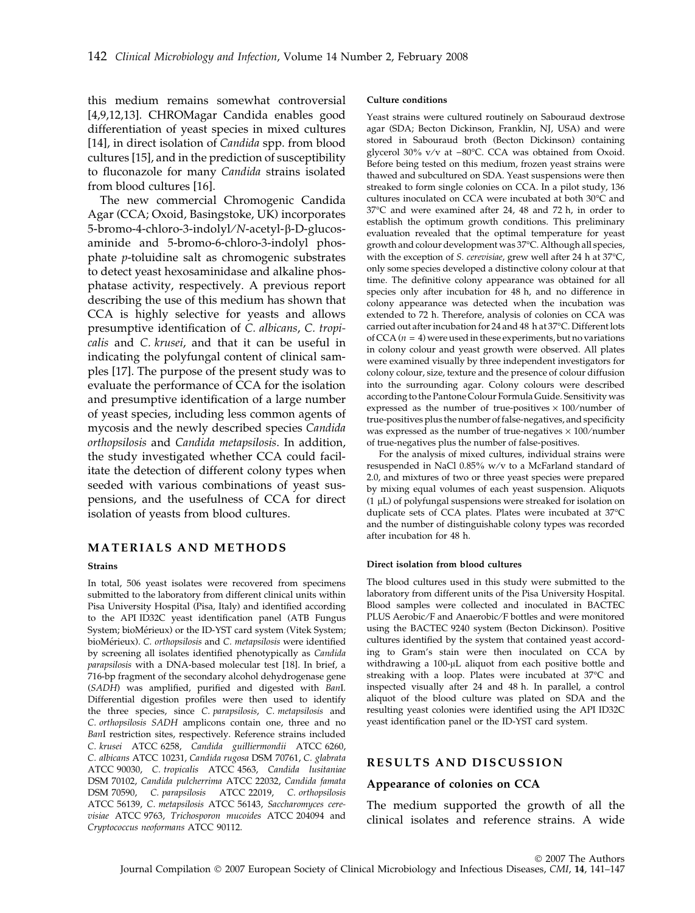this medium remains somewhat controversial [4,9,12,13]. CHROMagar Candida enables good differentiation of yeast species in mixed cultures [14], in direct isolation of *Candida* spp. from blood cultures [15], and in the prediction of susceptibility to fluconazole for many Candida strains isolated from blood cultures [16].

The new commercial Chromogenic Candida Agar (CCA; Oxoid, Basingstoke, UK) incorporates 5-bromo-4-chloro-3-indolyl/N-acetyl-β-D-glucosaminide and 5-bromo-6-chloro-3-indolyl phosphate p-toluidine salt as chromogenic substrates to detect yeast hexosaminidase and alkaline phosphatase activity, respectively. A previous report describing the use of this medium has shown that CCA is highly selective for yeasts and allows presumptive identification of C. albicans, C. tropicalis and C. krusei, and that it can be useful in indicating the polyfungal content of clinical samples [17]. The purpose of the present study was to evaluate the performance of CCA for the isolation and presumptive identification of a large number of yeast species, including less common agents of mycosis and the newly described species Candida orthopsilosis and Candida metapsilosis. In addition, the study investigated whether CCA could facilitate the detection of different colony types when seeded with various combinations of yeast suspensions, and the usefulness of CCA for direct isolation of yeasts from blood cultures.

# MATERIALS AND METHODS

#### Strains

In total, 506 yeast isolates were recovered from specimens submitted to the laboratory from different clinical units within Pisa University Hospital (Pisa, Italy) and identified according to the API ID32C yeast identification panel (ATB Fungus System; bioMérieux) or the ID-YST card system (Vitek System; bioMérieux). C. orthopsilosis and C. metapsilosis were identified by screening all isolates identified phenotypically as Candida parapsilosis with a DNA-based molecular test [18]. In brief, a 716-bp fragment of the secondary alcohol dehydrogenase gene (SADH) was amplified, purified and digested with BanI. Differential digestion profiles were then used to identify the three species, since C. parapsilosis, C. metapsilosis and C. orthopsilosis SADH amplicons contain one, three and no BanI restriction sites, respectively. Reference strains included C. krusei ATCC 6258, Candida guilliermondii ATCC 6260, C. albicans ATCC 10231, Candida rugosa DSM 70761, C. glabrata ATCC 90030, C. tropicalis ATCC 4563, Candida lusitaniae DSM 70102, Candida pulcherrima ATCC 22032, Candida famata DSM 70590, C. parapsilosis ATCC 22019, C. orthopsilosis ATCC 56139, C. metapsilosis ATCC 56143, Saccharomyces cerevisiae ATCC 9763, Trichosporon mucoides ATCC 204094 and Cryptococcus neoformans ATCC 90112.

#### Culture conditions

Yeast strains were cultured routinely on Sabouraud dextrose agar (SDA; Becton Dickinson, Franklin, NJ, USA) and were stored in Sabouraud broth (Becton Dickinson) containing glycerol 30% v/v at –80°C. CCA was obtained from Oxoid. Before being tested on this medium, frozen yeast strains were thawed and subcultured on SDA. Yeast suspensions were then streaked to form single colonies on CCA. In a pilot study, 136 cultures inoculated on CCA were incubated at both 30°C and 37-C and were examined after 24, 48 and 72 h, in order to establish the optimum growth conditions. This preliminary evaluation revealed that the optimal temperature for yeast growth and colour development was 37-C. Although all species, with the exception of *S. cerevisiae*, grew well after 24 h at 37°C, only some species developed a distinctive colony colour at that time. The definitive colony appearance was obtained for all species only after incubation for 48 h, and no difference in colony appearance was detected when the incubation was extended to 72 h. Therefore, analysis of colonies on CCA was carried out after incubation for 24 and 48 h at 37°C. Different lots of CCA ( $n = 4$ ) were used in these experiments, but no variations in colony colour and yeast growth were observed. All plates were examined visually by three independent investigators for colony colour, size, texture and the presence of colour diffusion into the surrounding agar. Colony colours were described according to the Pantone Colour Formula Guide. Sensitivity was expressed as the number of true-positives  $\times$  100/number of true-positives plus the number of false-negatives, and specificity was expressed as the number of true-negatives  $\times$  100/number of true-negatives plus the number of false-positives.

For the analysis of mixed cultures, individual strains were resuspended in NaCl 0.85% w/v to a McFarland standard of 2.0, and mixtures of two or three yeast species were prepared by mixing equal volumes of each yeast suspension. Aliquots (1  $\mu$ L) of polyfungal suspensions were streaked for isolation on duplicate sets of CCA plates. Plates were incubated at 37°C and the number of distinguishable colony types was recorded after incubation for 48 h.

#### Direct isolation from blood cultures

The blood cultures used in this study were submitted to the laboratory from different units of the Pisa University Hospital. Blood samples were collected and inoculated in BACTEC PLUS Aerobic/F and Anaerobic/F bottles and were monitored using the BACTEC 9240 system (Becton Dickinson). Positive cultures identified by the system that contained yeast according to Gram's stain were then inoculated on CCA by withdrawing a 100-µL aliquot from each positive bottle and streaking with a loop. Plates were incubated at 37°C and inspected visually after 24 and 48 h. In parallel, a control aliquot of the blood culture was plated on SDA and the resulting yeast colonies were identified using the API ID32C yeast identification panel or the ID-YST card system.

## RESULTS AND DISCUSSION

#### Appearance of colonies on CCA

The medium supported the growth of all the clinical isolates and reference strains. A wide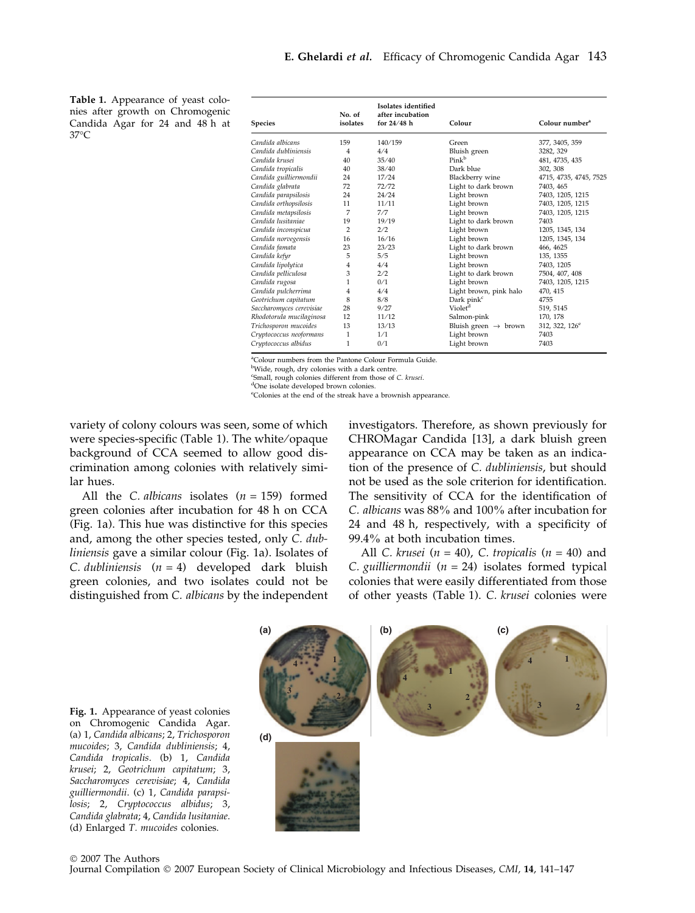Table 1. Appearance of yeast colonies after growth on Chromogenic Candida Agar for 24 and 48 h at 37°C

| <b>Species</b>           | No. of<br>isolates | Isolates identified<br>after incubation<br>for $24/48$ h | Colour                           | Colour number <sup>a</sup> |
|--------------------------|--------------------|----------------------------------------------------------|----------------------------------|----------------------------|
| Candida albicans         | 159                | 140/159                                                  | Green                            | 377, 3405, 359             |
| Candida dubliniensis     | $\overline{4}$     | 4/4                                                      | Bluish green                     | 3282, 329                  |
| Candida krusei           | 40                 | 35/40                                                    | Pink <sup>b</sup>                | 481, 4735, 435             |
| Candida tropicalis       | 40                 | 38/40                                                    | Dark blue                        | 302, 308                   |
| Candida guilliermondii   | 24                 | 17/24                                                    | Blackberry wine                  | 4715, 4735, 4745, 7525     |
| Candida glabrata         | 72                 | 72/72                                                    | Light to dark brown              | 7403, 465                  |
| Candida parapsilosis     | 24                 | 24/24                                                    | Light brown                      | 7403, 1205, 1215           |
| Candida orthopsilosis    | 11                 | 11/11                                                    | Light brown                      | 7403, 1205, 1215           |
| Candida metapsilosis     | 7                  | 7/7                                                      | Light brown                      | 7403, 1205, 1215           |
| Candida lusitaniae       | 19                 | 19/19                                                    | Light to dark brown              | 7403                       |
| Candida inconspicua      | 2                  | 2/2                                                      | Light brown                      | 1205, 1345, 134            |
| Candida norvegensis      | 16                 | 16/16                                                    | Light brown                      | 1205, 1345, 134            |
| Candida famata           | 23                 | 23/23                                                    | Light to dark brown              | 466, 4625                  |
| Candida kefyr            | 5                  | 5/5                                                      | Light brown                      | 135, 1355                  |
| Candida lipolytica       | 4                  | 4/4                                                      | Light brown                      | 7403, 1205                 |
| Candida pelliculosa      | 3                  | 2/2                                                      | Light to dark brown              | 7504, 407, 408             |
| Candida rugosa           | 1                  | 0/1                                                      | Light brown                      | 7403, 1205, 1215           |
| Candida pulcherrima      | 4                  | 4/4                                                      | Light brown, pink halo           | 470, 415                   |
| Geotrichum capitatum     | 8                  | 8/8                                                      | Dark pink <sup>c</sup>           | 4755                       |
| Saccharomyces cerevisiae | 28                 | 9/27                                                     | Violet <sup>d</sup>              | 519, 5145                  |
| Rhodotorula mucilaginosa | 12                 | 11/12                                                    | Salmon-pink                      | 170, 178                   |
| Trichosporon mucoides    | 13                 | 13/13                                                    | Bluish green $\rightarrow$ brown | 312, 322, $126^e$          |
| Cryptococcus neoformans  | 1                  | 1/1                                                      | Light brown                      | 7403                       |
| Cryptococcus albidus     | 1                  | 0/1                                                      | Light brown                      | 7403                       |

a Colour numbers from the Pantone Colour Formula Guide.

<sup>b</sup>Wide, rough, dry colonies with a dark centre.

<sup>c</sup>Small, rough colonies different from those of C. krusei.

One isolate developed brown colonies.

e Colonies at the end of the streak have a brownish appearance.

variety of colony colours was seen, some of which were species-specific (Table 1). The white/opaque background of CCA seemed to allow good discrimination among colonies with relatively similar hues.

All the C. albicans isolates  $(n = 159)$  formed green colonies after incubation for 48 h on CCA (Fig. 1a). This hue was distinctive for this species and, among the other species tested, only C. dubliniensis gave a similar colour (Fig. 1a). Isolates of C. dubliniensis  $(n = 4)$  developed dark bluish green colonies, and two isolates could not be distinguished from C. albicans by the independent investigators. Therefore, as shown previously for CHROMagar Candida [13], a dark bluish green appearance on CCA may be taken as an indication of the presence of C. dubliniensis, but should not be used as the sole criterion for identification. The sensitivity of CCA for the identification of C. albicans was 88% and 100% after incubation for 24 and 48 h, respectively, with a specificity of 99.4% at both incubation times.

All C. krusei ( $n = 40$ ), C. tropicalis ( $n = 40$ ) and C. guilliermondii ( $n = 24$ ) isolates formed typical colonies that were easily differentiated from those of other yeasts (Table 1). C. krusei colonies were



Fig. 1. Appearance of yeast colonies on Chromogenic Candida Agar. (a) 1, Candida albicans; 2, Trichosporon mucoides; 3, Candida dubliniensis; 4, Candida tropicalis. (b) 1, Candida krusei; 2, Geotrichum capitatum; 3, Saccharomyces cerevisiae; 4, Candida guilliermondii. (c) 1, Candida parapsilosis; 2, Cryptococcus albidus; 3, Candida glabrata; 4, Candida lusitaniae. (d) Enlarged T. mucoides colonies.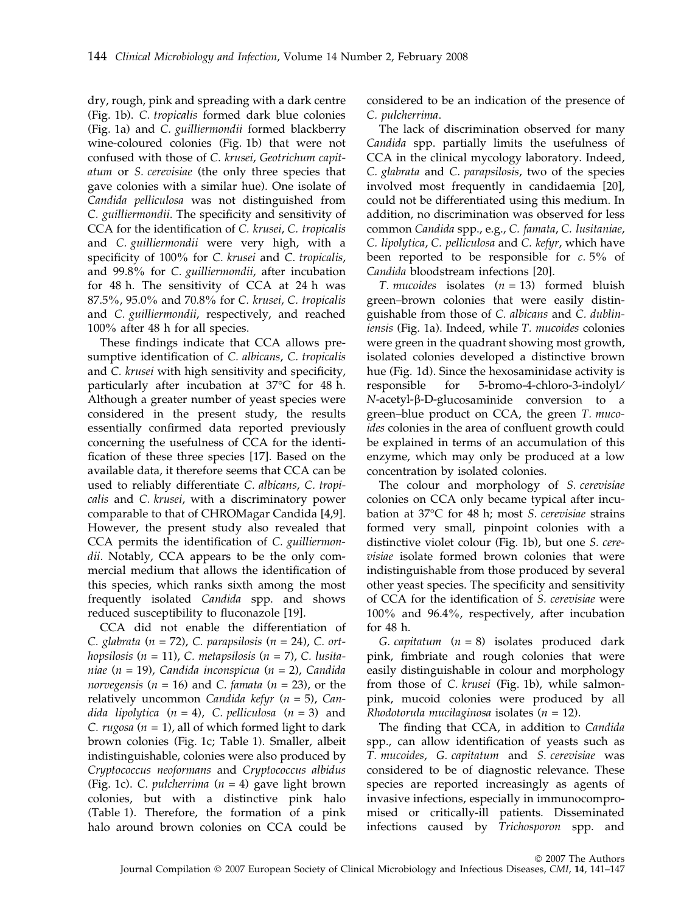dry, rough, pink and spreading with a dark centre (Fig. 1b). C. tropicalis formed dark blue colonies (Fig. 1a) and C. guilliermondii formed blackberry wine-coloured colonies (Fig. 1b) that were not confused with those of C. krusei, Geotrichum capitatum or S. cerevisiae (the only three species that gave colonies with a similar hue). One isolate of Candida pelliculosa was not distinguished from C. guilliermondii. The specificity and sensitivity of CCA for the identification of C. krusei, C. tropicalis and C. guilliermondii were very high, with a specificity of 100% for C. krusei and C. tropicalis, and 99.8% for C. guilliermondii, after incubation for 48 h. The sensitivity of CCA at 24 h was 87.5%, 95.0% and 70.8% for C. krusei, C. tropicalis and C. guilliermondii, respectively, and reached 100% after 48 h for all species.

These findings indicate that CCA allows presumptive identification of C. albicans, C. tropicalis and C. krusei with high sensitivity and specificity, particularly after incubation at 37°C for 48 h. Although a greater number of yeast species were considered in the present study, the results essentially confirmed data reported previously concerning the usefulness of CCA for the identification of these three species [17]. Based on the available data, it therefore seems that CCA can be used to reliably differentiate C. albicans, C. tropicalis and C. krusei, with a discriminatory power comparable to that of CHROMagar Candida [4,9]. However, the present study also revealed that CCA permits the identification of C. guilliermondii. Notably, CCA appears to be the only commercial medium that allows the identification of this species, which ranks sixth among the most frequently isolated Candida spp. and shows reduced susceptibility to fluconazole [19].

CCA did not enable the differentiation of C. glabrata ( $n = 72$ ), C. parapsilosis ( $n = 24$ ), C. orthopsilosis ( $n = 11$ ), C. metapsilosis ( $n = 7$ ), C. lusitaniae (n = 19), Candida inconspicua (n = 2), Candida norvegensis ( $n = 16$ ) and C. famata ( $n = 23$ ), or the relatively uncommon Candida kefyr  $(n = 5)$ , Candida lipolytica  $(n = 4)$ , C. pelliculosa  $(n = 3)$  and C. rugosa ( $n = 1$ ), all of which formed light to dark brown colonies (Fig. 1c; Table 1). Smaller, albeit indistinguishable, colonies were also produced by Cryptococcus neoformans and Cryptococcus albidus (Fig. 1c). C. pulcherrima  $(n = 4)$  gave light brown colonies, but with a distinctive pink halo (Table 1). Therefore, the formation of a pink halo around brown colonies on CCA could be considered to be an indication of the presence of C. pulcherrima.

The lack of discrimination observed for many Candida spp. partially limits the usefulness of CCA in the clinical mycology laboratory. Indeed, C. glabrata and C. parapsilosis, two of the species involved most frequently in candidaemia [20], could not be differentiated using this medium. In addition, no discrimination was observed for less common Candida spp., e.g., C. famata, C. lusitaniae, C. lipolytica, C. pelliculosa and C. kefyr, which have been reported to be responsible for  $c. 5\%$  of Candida bloodstream infections [20].

T. mucoides isolates  $(n = 13)$  formed bluish green–brown colonies that were easily distinguishable from those of C. albicans and C. dubliniensis (Fig. 1a). Indeed, while T. mucoides colonies were green in the quadrant showing most growth, isolated colonies developed a distinctive brown hue (Fig. 1d). Since the hexosaminidase activity is responsible for 5-bromo-4-chloro-3-indolyl/  $N$ -acetyl- $\beta$ -D-glucosaminide conversion to a green–blue product on CCA, the green T. mucoides colonies in the area of confluent growth could be explained in terms of an accumulation of this enzyme, which may only be produced at a low concentration by isolated colonies.

The colour and morphology of S. cerevisiae colonies on CCA only became typical after incubation at 37°C for 48 h; most *S. cerevisiae* strains formed very small, pinpoint colonies with a distinctive violet colour (Fig. 1b), but one S. cerevisiae isolate formed brown colonies that were indistinguishable from those produced by several other yeast species. The specificity and sensitivity of CCA for the identification of S. cerevisiae were 100% and 96.4%, respectively, after incubation for 48 h.

G. capitatum  $(n = 8)$  isolates produced dark pink, fimbriate and rough colonies that were easily distinguishable in colour and morphology from those of C. krusei (Fig. 1b), while salmonpink, mucoid colonies were produced by all Rhodotorula mucilaginosa isolates ( $n = 12$ ).

The finding that CCA, in addition to Candida spp., can allow identification of yeasts such as T. mucoides, G. capitatum and S. cerevisiae was considered to be of diagnostic relevance. These species are reported increasingly as agents of invasive infections, especially in immunocompromised or critically-ill patients. Disseminated infections caused by Trichosporon spp. and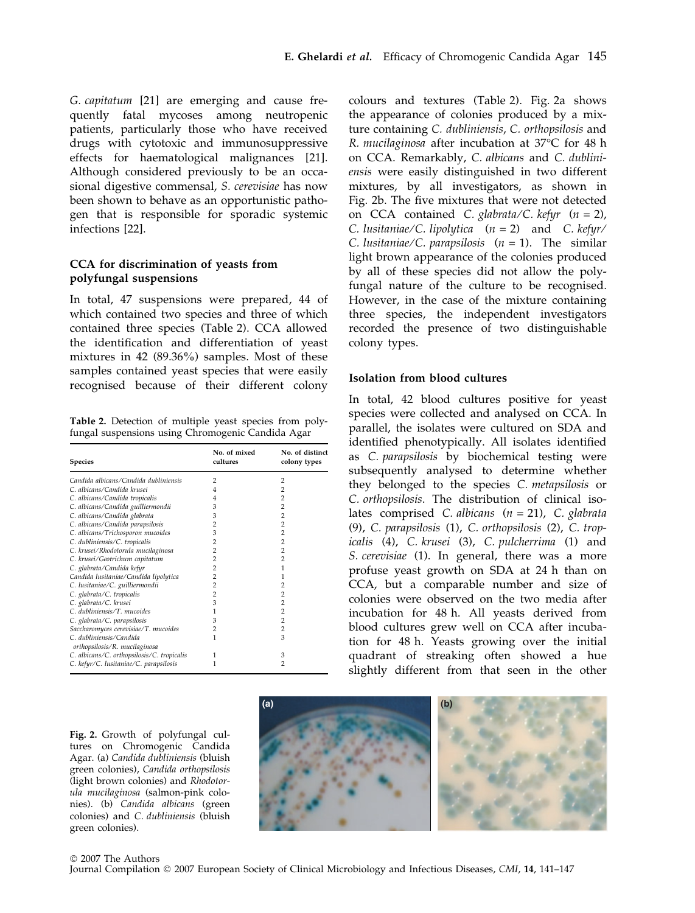G. capitatum [21] are emerging and cause frequently fatal mycoses among neutropenic patients, particularly those who have received drugs with cytotoxic and immunosuppressive effects for haematological malignances [21]. Although considered previously to be an occasional digestive commensal, S. cerevisiae has now been shown to behave as an opportunistic pathogen that is responsible for sporadic systemic infections [22].

# CCA for discrimination of yeasts from polyfungal suspensions

In total, 47 suspensions were prepared, 44 of which contained two species and three of which contained three species (Table 2). CCA allowed the identification and differentiation of yeast mixtures in 42 (89.36%) samples. Most of these samples contained yeast species that were easily recognised because of their different colony

Table 2. Detection of multiple yeast species from polyfungal suspensions using Chromogenic Candida Agar

| <b>Species</b>                                           | No. of mixed<br>cultures | No. of distinct<br>colony types |
|----------------------------------------------------------|--------------------------|---------------------------------|
| Candida albicans/Candida dubliniensis                    | 2                        | 2                               |
| C., albicans/Candida krusei                              | 4                        | 2                               |
| C. albicans/Candida tropicalis                           | 4                        | $\overline{2}$                  |
| C. albicans/Candida guilliermondii                       | 3                        | $\overline{2}$                  |
| C. albicans/Candida glabrata                             | 3                        | $\overline{2}$                  |
| C. albicans/Candida parapsilosis                         | 2                        | 2                               |
| C. albicans/Trichosporon mucoides                        | 3                        | 2                               |
| C. dubliniensis/C. tropicalis                            | 2                        | 2                               |
| C. krusei/Rhodotorula mucilaginosa                       | 2                        | 2                               |
| C. krusei/Geotrichum capitatum                           | 2                        | $\overline{2}$                  |
| C. glabrata/Candida kefyr                                | 2                        | 1                               |
| Candida lusitaniae/Candida lipolytica                    | 2                        | 1                               |
| C. lusitaniae/C. guilliermondii                          | 2                        | 2                               |
| C. glabrata/C. tropicalis                                | 2                        | 2                               |
| C. glabrata/C. krusei                                    | 3                        | 2                               |
| C. dubliniensis/T. mucoides                              |                          | $\overline{2}$                  |
| C. glabrata/C. parapsilosis                              | 3                        | 2                               |
| Saccharomyces cerevisiae/T. mucoides                     | 2                        | $\overline{2}$                  |
| C. dubliniensis/Candida<br>orthopsilosis/R. mucilaginosa |                          | 3                               |
| C. albicans/C. orthopsilosis/C. tropicalis               | 1                        | 3                               |
| C. kefyr/C. lusitaniae/C. parapsilosis                   | 1                        | 2                               |

colours and textures (Table 2). Fig. 2a shows the appearance of colonies produced by a mixture containing C. dubliniensis, C. orthopsilosis and R. *mucilaginosa* after incubation at 37°C for 48 h on CCA. Remarkably, C. albicans and C. dubliniensis were easily distinguished in two different mixtures, by all investigators, as shown in Fig. 2b. The five mixtures that were not detected on CCA contained C. glabrata/C. kefyr  $(n = 2)$ , C. lusitaniae/C. lipolytica  $(n = 2)$  and C. kefyr/ C. lusitaniae/C. parapsilosis  $(n = 1)$ . The similar light brown appearance of the colonies produced by all of these species did not allow the polyfungal nature of the culture to be recognised. However, in the case of the mixture containing three species, the independent investigators recorded the presence of two distinguishable colony types.

# Isolation from blood cultures

In total, 42 blood cultures positive for yeast species were collected and analysed on CCA. In parallel, the isolates were cultured on SDA and identified phenotypically. All isolates identified as C. parapsilosis by biochemical testing were subsequently analysed to determine whether they belonged to the species C. metapsilosis or C. orthopsilosis. The distribution of clinical isolates comprised C. albicans  $(n = 21)$ , C. glabrata (9), C. parapsilosis (1), C. orthopsilosis (2), C. tropicalis (4), C. krusei (3), C. pulcherrima (1) and S. cerevisiae (1). In general, there was a more profuse yeast growth on SDA at 24 h than on CCA, but a comparable number and size of colonies were observed on the two media after incubation for 48 h. All yeasts derived from blood cultures grew well on CCA after incubation for 48 h. Yeasts growing over the initial quadrant of streaking often showed a hue slightly different from that seen in the other

Fig. 2. Growth of polyfungal cultures on Chromogenic Candida Agar. (a) Candida dubliniensis (bluish green colonies), Candida orthopsilosis (light brown colonies) and Rhodotorula mucilaginosa (salmon-pink colonies). (b) Candida albicans (green colonies) and C. dubliniensis (bluish green colonies).

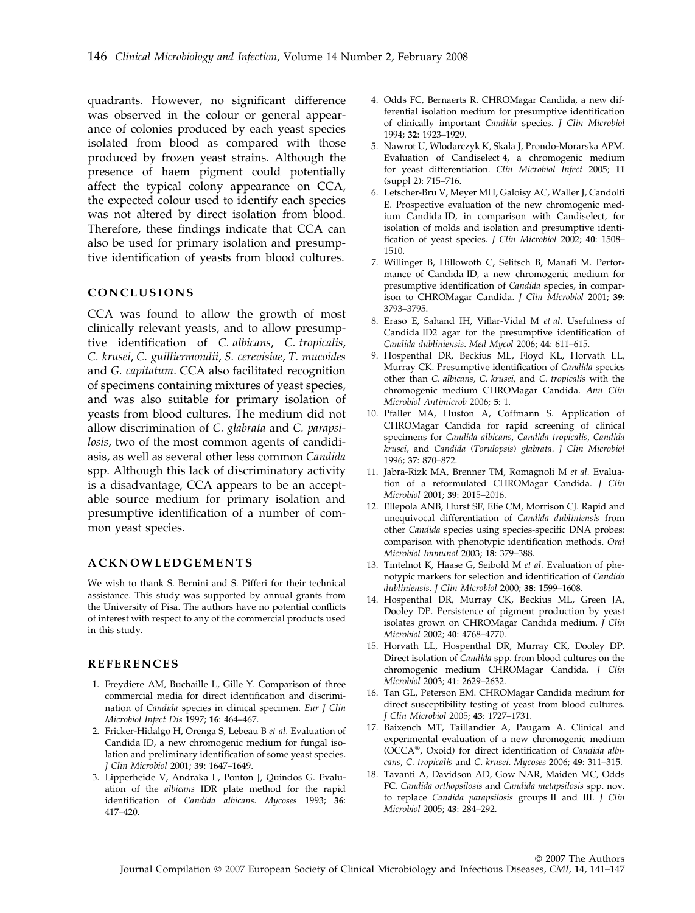quadrants. However, no significant difference was observed in the colour or general appearance of colonies produced by each yeast species isolated from blood as compared with those produced by frozen yeast strains. Although the presence of haem pigment could potentially affect the typical colony appearance on CCA, the expected colour used to identify each species was not altered by direct isolation from blood. Therefore, these findings indicate that CCA can also be used for primary isolation and presumptive identification of yeasts from blood cultures.

# CONCLUSIONS

CCA was found to allow the growth of most clinically relevant yeasts, and to allow presumptive identification of C. albicans, C. tropicalis, C. krusei, C. guilliermondii, S. cerevisiae, T. mucoides and G. capitatum. CCA also facilitated recognition of specimens containing mixtures of yeast species, and was also suitable for primary isolation of yeasts from blood cultures. The medium did not allow discrimination of C. glabrata and C. parapsilosis, two of the most common agents of candidiasis, as well as several other less common Candida spp. Although this lack of discriminatory activity is a disadvantage, CCA appears to be an acceptable source medium for primary isolation and presumptive identification of a number of common yeast species.

## ACKNOWLEDGEMENTS

We wish to thank S. Bernini and S. Pifferi for their technical assistance. This study was supported by annual grants from the University of Pisa. The authors have no potential conflicts of interest with respect to any of the commercial products used in this study.

### REFERENCES

- 1. Freydiere AM, Buchaille L, Gille Y. Comparison of three commercial media for direct identification and discrimination of Candida species in clinical specimen. Eur J Clin Microbiol Infect Dis 1997; 16: 464–467.
- 2. Fricker-Hidalgo H, Orenga S, Lebeau B et al. Evaluation of Candida ID, a new chromogenic medium for fungal isolation and preliminary identification of some yeast species. J Clin Microbiol 2001; 39: 1647–1649.
- 3. Lipperheide V, Andraka L, Ponton J, Quindos G. Evaluation of the albicans IDR plate method for the rapid identification of Candida albicans. Mycoses 1993; 36: 417–420.
- 4. Odds FC, Bernaerts R. CHROMagar Candida, a new differential isolation medium for presumptive identification of clinically important Candida species. J Clin Microbiol 1994; 32: 1923–1929.
- 5. Nawrot U, Wlodarczyk K, Skala J, Prondo-Morarska APM. Evaluation of Candiselect 4, a chromogenic medium for yeast differentiation. Clin Microbiol Infect 2005; 11 (suppl 2): 715–716.
- 6. Letscher-Bru V, Meyer MH, Galoisy AC, Waller J, Candolfi E. Prospective evaluation of the new chromogenic medium Candida ID, in comparison with Candiselect, for isolation of molds and isolation and presumptive identification of yeast species. J Clin Microbiol 2002; 40: 1508– 1510.
- 7. Willinger B, Hillowoth C, Selitsch B, Manafi M. Performance of Candida ID, a new chromogenic medium for presumptive identification of Candida species, in comparison to CHROMagar Candida. J Clin Microbiol 2001; 39: 3793–3795.
- 8. Eraso E, Sahand IH, Villar-Vidal M et al. Usefulness of Candida ID2 agar for the presumptive identification of Candida dubliniensis. Med Mycol 2006; 44: 611–615.
- 9. Hospenthal DR, Beckius ML, Floyd KL, Horvath LL, Murray CK. Presumptive identification of Candida species other than C. albicans, C. krusei, and C. tropicalis with the chromogenic medium CHROMagar Candida. Ann Clin Microbiol Antimicrob 2006; 5: 1.
- 10. Pfaller MA, Huston A, Coffmann S. Application of CHROMagar Candida for rapid screening of clinical specimens for Candida albicans, Candida tropicalis, Candida krusei, and Candida (Torulopsis) glabrata. J Clin Microbiol 1996; 37: 870–872.
- 11. Jabra-Rizk MA, Brenner TM, Romagnoli M et al. Evaluation of a reformulated CHROMagar Candida. J Clin Microbiol 2001; 39: 2015–2016.
- 12. Ellepola ANB, Hurst SF, Elie CM, Morrison CJ. Rapid and unequivocal differentiation of Candida dubliniensis from other Candida species using species-specific DNA probes: comparison with phenotypic identification methods. Oral Microbiol Immunol 2003; 18: 379–388.
- 13. Tintelnot K, Haase G, Seibold M et al. Evaluation of phenotypic markers for selection and identification of Candida dubliniensis. J Clin Microbiol 2000; 38: 1599–1608.
- 14. Hospenthal DR, Murray CK, Beckius ML, Green JA, Dooley DP. Persistence of pigment production by yeast isolates grown on CHROMagar Candida medium. J Clin Microbiol 2002; 40: 4768–4770.
- 15. Horvath LL, Hospenthal DR, Murray CK, Dooley DP. Direct isolation of Candida spp. from blood cultures on the chromogenic medium CHROMagar Candida. J Clin Microbiol 2003; 41: 2629–2632.
- 16. Tan GL, Peterson EM. CHROMagar Candida medium for direct susceptibility testing of yeast from blood cultures. J Clin Microbiol 2005; 43: 1727–1731.
- 17. Baixench MT, Taillandier A, Paugam A. Clinical and experimental evaluation of a new chromogenic medium (OCCA®, Oxoid) for direct identification of Candida albicans, C. tropicalis and C. krusei. Mycoses 2006; 49: 311–315.
- 18. Tavanti A, Davidson AD, Gow NAR, Maiden MC, Odds FC. Candida orthopsilosis and Candida metapsilosis spp. nov. to replace Candida parapsilosis groups II and III. J Clin Microbiol 2005; 43: 284–292.